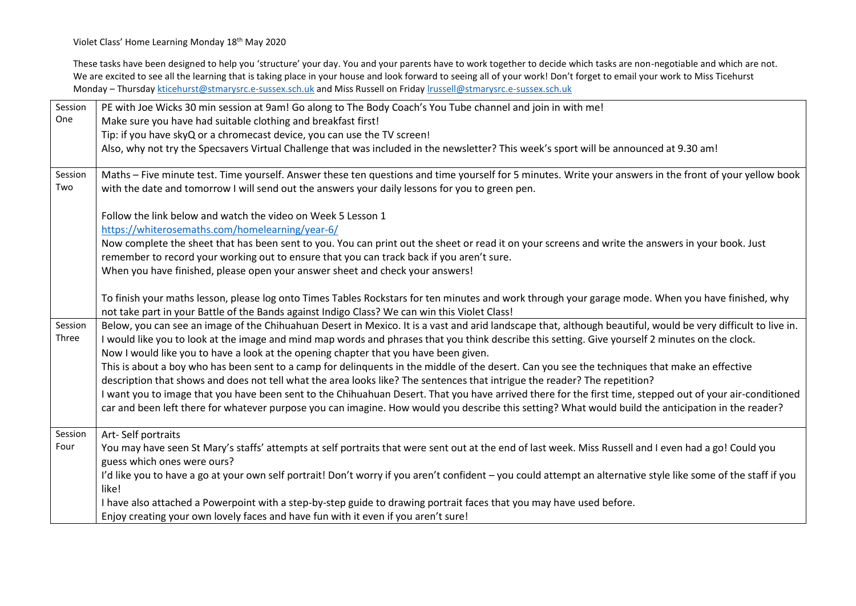Violet Class' Home Learning Monday 18<sup>th</sup> May 2020

These tasks have been designed to help you 'structure' your day. You and your parents have to work together to decide which tasks are non-negotiable and which are not. We are excited to see all the learning that is taking place in your house and look forward to seeing all of your work! Don't forget to email your work to Miss Ticehurst Monday – Thursday [kticehurst@stmarysrc.e-sussex.sch.uk](mailto:kticehurst@stmarysrc.e-sussex.sch.uk) and Miss Russell on Friday [lrussell@stmarysrc.e-sussex.sch.uk](mailto:lrussell@stmarysrc.e-sussex.sch.uk)

| Session        | PE with Joe Wicks 30 min session at 9am! Go along to The Body Coach's You Tube channel and join in with me!                                                                                                                                                 |
|----------------|-------------------------------------------------------------------------------------------------------------------------------------------------------------------------------------------------------------------------------------------------------------|
| One            | Make sure you have had suitable clothing and breakfast first!                                                                                                                                                                                               |
|                | Tip: if you have skyQ or a chromecast device, you can use the TV screen!                                                                                                                                                                                    |
|                | Also, why not try the Specsavers Virtual Challenge that was included in the newsletter? This week's sport will be announced at 9.30 am!                                                                                                                     |
| Session<br>Two | Maths - Five minute test. Time yourself. Answer these ten questions and time yourself for 5 minutes. Write your answers in the front of your yellow book<br>with the date and tomorrow I will send out the answers your daily lessons for you to green pen. |
|                | Follow the link below and watch the video on Week 5 Lesson 1                                                                                                                                                                                                |
|                | https://whiterosemaths.com/homelearning/year-6/                                                                                                                                                                                                             |
|                | Now complete the sheet that has been sent to you. You can print out the sheet or read it on your screens and write the answers in your book. Just                                                                                                           |
|                | remember to record your working out to ensure that you can track back if you aren't sure.                                                                                                                                                                   |
|                | When you have finished, please open your answer sheet and check your answers!                                                                                                                                                                               |
|                | To finish your maths lesson, please log onto Times Tables Rockstars for ten minutes and work through your garage mode. When you have finished, why<br>not take part in your Battle of the Bands against Indigo Class? We can win this Violet Class!         |
| Session        | Below, you can see an image of the Chihuahuan Desert in Mexico. It is a vast and arid landscape that, although beautiful, would be very difficult to live in.                                                                                               |
| Three          | I would like you to look at the image and mind map words and phrases that you think describe this setting. Give yourself 2 minutes on the clock.<br>Now I would like you to have a look at the opening chapter that you have been given.                    |
|                | This is about a boy who has been sent to a camp for delinquents in the middle of the desert. Can you see the techniques that make an effective                                                                                                              |
|                | description that shows and does not tell what the area looks like? The sentences that intrigue the reader? The repetition?                                                                                                                                  |
|                | I want you to image that you have been sent to the Chihuahuan Desert. That you have arrived there for the first time, stepped out of your air-conditioned                                                                                                   |
|                | car and been left there for whatever purpose you can imagine. How would you describe this setting? What would build the anticipation in the reader?                                                                                                         |
| Session        | Art-Self portraits                                                                                                                                                                                                                                          |
| Four           | You may have seen St Mary's staffs' attempts at self portraits that were sent out at the end of last week. Miss Russell and I even had a go! Could you                                                                                                      |
|                | guess which ones were ours?                                                                                                                                                                                                                                 |
|                | I'd like you to have a go at your own self portrait! Don't worry if you aren't confident - you could attempt an alternative style like some of the staff if you                                                                                             |
|                | like!                                                                                                                                                                                                                                                       |
|                | I have also attached a Powerpoint with a step-by-step guide to drawing portrait faces that you may have used before.                                                                                                                                        |
|                | Enjoy creating your own lovely faces and have fun with it even if you aren't sure!                                                                                                                                                                          |